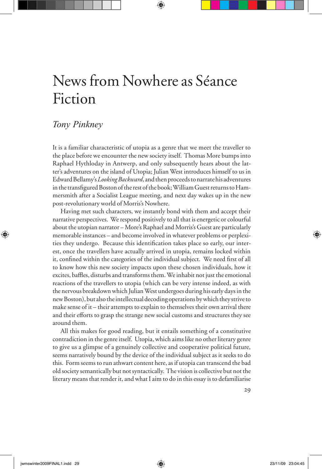# News from Nowhere as Séance Fiction

# *Tony Pinkney*

It is a familiar characteristic of utopia as a genre that we meet the traveller to the place before we encounter the new society itself. Thomas More bumps into Raphael Hythloday in Antwerp, and only subsequently hears about the latter's adventures on the island of Utopia; Julian West introduces himself to us in Edward Bellamy's *Looking Backward*, and then proceeds to narrate his adventures in the transfigured Boston of the rest of the book; William Guest returns to Hammersmith after a Socialist League meeting, and next day wakes up in the new post-revolutionary world of Morris's Nowhere.

Having met such characters, we instantly bond with them and accept their narrative perspectives. We respond positively to all that is energetic or colourful about the utopian narrator – More's Raphael and Morris's Guest are particularly memorable instances – and become involved in whatever problems or perplexities they undergo. Because this identification takes place so early, our interest, once the travellers have actually arrived in utopia, remains locked within it, confined within the categories of the individual subject. We need first of all to know how this new society impacts upon these chosen individuals, how it excites, baffles, disturbs and transforms them. We inhabit not just the emotional reactions of the travellers to utopia (which can be very intense indeed, as with the nervous breakdown which Julian West undergoes during his early days in the new Boston), but also the intellectual decoding operations by which they strive to make sense of it – their attempts to explain to themselves their own arrival there and their efforts to grasp the strange new social customs and structures they see around them.

All this makes for good reading, but it entails something of a constitutive contradiction in the genre itself. Utopia, which aims like no other literary genre to give us a glimpse of a genuinely collective and cooperative political future, seems narratively bound by the device of the individual subject as it seeks to do this. Form seems to run athwart content here, as if utopia can transcend the bad old society semantically but not syntactically. The vision is collective but not the literary means that render it, and what I aim to do in this essay is to defamiliarise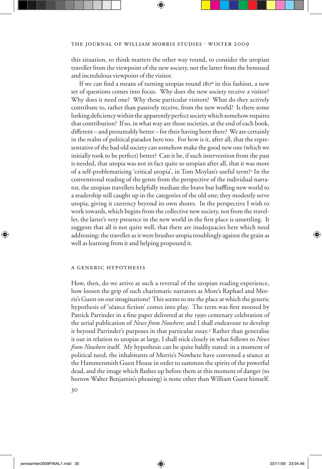this situation, to think matters the other way round, to consider the utopian traveller from the viewpoint of the new society, not the latter from the bemused and incredulous viewpoint of the visitor.

If we can find a means of turning utopias round  $180^\circ$  in this fashion, a new set of questions comes into focus. Why does the new society receive a visitor? Why does it need one? Why these particular visitors? What do they actively contribute to, rather than passively receive, from the new world? Is there some lurking deficiency within the apparently perfect society which somehow requires that contribution? If so, in what way are those societies, at the end of each book, different – and presumably better – for their having been there? We are certainly in the realm of political paradox here too. For how is it, after all, that the representative of the bad old society can somehow make the good new one (which we initially took to be perfect) better? Can it be, if such intervention from the past is needed, that utopia was not in fact quite so utopian after all, that it was more of a self-problematising 'critical utopia', in Tom Moylan's useful term?1 In the conventional reading of the genre from the perspective of the individual narrator, the utopian travellers helpfully mediate the brave but baffling new world to a readership still caught up in the categories of the old one; they modestly serve utopia, giving it currency beyond its own shores. In the perspective I wish to work towards, which begins from the collective new society, not from the traveller, the latter's very presence in the new world in the first place is unsettling. It suggests that all is not quite well, that there are inadequacies here which need addressing; the traveller as it were brushes utopia troublingly against the grain as well as learning from it and helping propound it.

# a generic hypothesis

How, then, do we arrive at such a reversal of the utopian reading experience, how loosen the grip of such charismatic narrators as More's Raphael and Morris's Guest on our imaginations? This seems to me the place at which the generic hypothesis of 'séance fiction' comes into play. The term was first mooted by Patrick Parrinder in a fine paper delivered at the 1990 centenary celebration of the serial publication of *News from Nowhere*; and I shall endeavour to develop it beyond Parrinder's purposes in that particular essay.2 Rather than generalise it out in relation to utopias at large, I shall stick closely in what follows to *News from Nowhere* itself*.* My hypothesis can be quite baldly stated: in a moment of political need, the inhabitants of Morris's Nowhere have convened a séance at the Hammersmith Guest House in order to summon the spirits of the powerful dead, and the image which flashes up before them at this moment of danger (to borrow Walter Benjamin's phrasing) is none other than William Guest himself.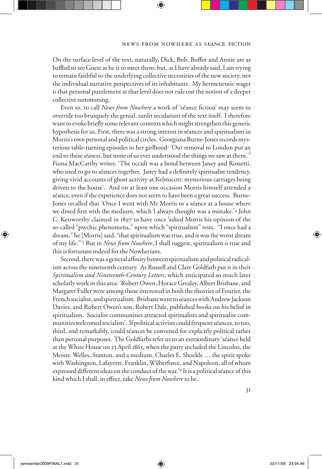On the surface level of the text, naturally, Dick, Bob, Boffin and Annie are as baffled to see Guest as he is to meet them; but, as I have already said, I am trying to remain faithful to the underlying collective necessities of the new society, not the individual narrative perspectives of its inhabitants. My hermeneutic wager is that personal puzzlement at that level does not rule out the notion of a deeper collective summoning.

Even so, to call *News from Nowhere* a work of 'séance fiction' may seem to override too brusquely the genial, sunlit secularism of the text itself. I therefore want to evoke briefly some relevant contexts which might strengthen this generic hypothesis for us. First, there was a strong interest in séances and spiritualism in Morris's own personal and political circles. Georgiana Burne-Jones records mysterious table-turning episodes in her girlhood: 'Our removal to London put an end to these *séances*, but none of us ever understood the things we saw at them.'<sup>3</sup> Fiona MacCarthy writes: 'The occult was a bond between Janey and Rossetti, who used to go to séances together. Janey had a definitely spiritualist tendency, giving vivid accounts of ghost activity at Kelmscott: mysterious carriages being driven to the house'. And on at least one occasion Morris himself attended a séance, even if the experience does not seem to have been a great success. Burne-Jones recalled that 'Once I went with Mr Morris to a séance at a house where we dined first with the medium, which I always thought was a mistake.'4 John C. Kenworthy claimed in 1897 to have once 'asked Morris his opinion of the so-called "psychic phenomena," upon which "spiritualism" rests. "I once had a dream," he [Morris] said, "that spiritualism was true, and it was the worst dream of my life."'5 But in *News from Nowhere*, I shall suggest, spiritualism *is* true and this is fortunate indeed for the Nowherians.

Second, there was a general affinity between spiritualism and political radicalism across the nineteenth century. As Russell and Clare Goldfarb put it in their *Spiritualism and Nineteenth-Century Letters*, which anticipated so much later scholarly work in this area: 'Robert Owen, Horace Grealey, Albert Brisbane, and Margaret Fuller were among those interested in both the theories of Fourier, the French socialist, and spiritualism. Brisbane went to séances with Andrew Jackson Davies, and Robert Owen's son, Robert Dale, published books on his belief in spiritualism. Socialist communities attracted spiritualists and spiritualist communities welcomed socialists'. If political activists could frequent séances, so too, third, and remarkably, could séances be convened for explicitly political rather than personal purposes. The Goldfarbs refer us to an extraordinary 'séance held at the White House on 23 April 1863, when the party included the Lincolns, the Messrs. Welles, Stanton, and a medium, Charles E. Shockle … the spirit spoke with Washington, Lafayette, Franklin, Wilberforce, and Napoleon, all of whom expressed different ideas on the conduct of the war.'<sup>6</sup> It is a political séance of this kind which I shall, in effect, take *News from Nowhere* to be.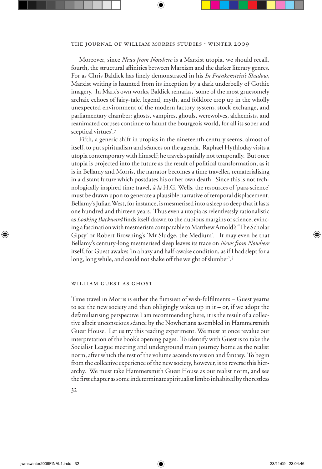Moreover, since *News from Nowhere* is a Marxist utopia, we should recall, fourth, the structural affinities between Marxism and the darker literary genres. For as Chris Baldick has Wnely demonstrated in his *In Frankenstein's Shadow*, Marxist writing is haunted from its inception by a dark underbelly of Gothic imagery. In Marx's own works, Baldick remarks, 'some of the most gruesomely archaic echoes of fairy-tale, legend, myth, and folklore crop up in the wholly unexpected environment of the modern factory system, stock exchange, and parliamentary chamber: ghosts, vampires, ghouls, werewolves, alchemists, and reanimated corpses continue to haunt the bourgeois world, for all its sober and sceptical virtues'.<sup>7</sup>

Fifth, a generic shift in utopias in the nineteenth century seems, almost of itself, to put spiritualism and séances on the agenda. Raphael Hythloday visits a utopia contemporary with himself; he travels spatially not temporally. But once utopia is projected into the future as the result of political transformation, as it is in Bellamy and Morris, the narrator becomes a time traveller, rematerialising in a distant future which postdates his or her own death. Since this is not technologically inspired time travel, *à la* H.G. Wells, the resources of 'para-science' must be drawn upon to generate a plausible narrative of temporal displacement. Bellamy's Julian West, for instance, is mesmerised into a sleep so deep that it lasts one hundred and thirteen years. Thus even a utopia as relentlesssly rationalistic as *Looking Backward* finds itself drawn to the dubious margins of science, evincing a fascination with mesmerism comparable to Matthew Arnold's 'The Scholar Gipsy' or Robert Browning's 'Mr Sludge, the Medium'. It may even be that Bellamy's century-long mesmerised sleep leaves its trace on *News from Nowhere*  itself, for Guest awakes 'in a hazy and half-awake condition, as if I had slept for a long, long while, and could not shake off the weight of slumber'.<sup>8</sup>

#### william guest as ghost

Time travel in Morris is either the flimsiest of wish-fulfilments – Guest yearns to see the new society and then obligingly wakes up in it – or, if we adopt the defamiliarising perspective I am recommending here, it is the result of a collective albeit unconscious séance by the Nowherians assembled in Hammersmith Guest House. Let us try this reading experiment. We must at once revalue our interpretation of the book's opening pages. To identify with Guest is to take the Socialist League meeting and underground train journey home as the realist norm, after which the rest of the volume ascends to vision and fantasy. To begin from the collective experience of the new society, however, is to reverse this hierarchy. We must take Hammersmith Guest House as our realist norm, and see the first chapter as some indeterminate spiritualist limbo inhabited by the restless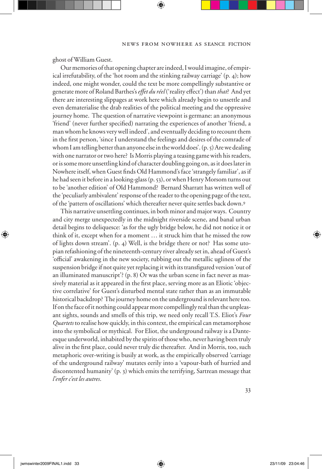ghost of William Guest.

Our memories of that opening chapter are indeed, I would imagine, of empirical irrefutability, of the 'hot room and the stinking railway carriage' (p. 4); how indeed, one might wonder, could the text be more compellingly substantive or generate more of Roland Barthes's *effet du réel* ('reality eVect') than *that*? And yet there are interesting slippages at work here which already begin to unsettle and even dematerialise the drab realities of the political meeting and the oppressive journey home. The question of narrative viewpoint is germane: an anonymous 'friend' (never further specified) narrating the experiences of another 'friend, a man whom he knows very well indeed', and eventually deciding to recount them in the first person, 'since I understand the feelings and desires of the comrade of whom I am telling better than anyone else in the world does'. (p. 5) Are we dealing with one narrator or two here? Is Morris playing a teasing game with his readers, or is some more unsettling kind of character doubling going on, as it does later in Nowhere itself, when Guest finds Old Hammond's face 'strangely familiar', as if he had seen it before in a looking-glass (p. 53), or when Henry Morsom turns out to be 'another edition' of Old Hammond? Bernard Sharratt has written well of the 'peculiarly ambivalent' response of the reader to the opening page of the text, of the 'pattern of oscillations' which thereafter never quite settles back down.<sup>9</sup>

This narrative unsettling continues, in both minor and major ways. Country and city merge unexpectedly in the midnight riverside scene, and banal urban detail begins to deliquesce: 'as for the ugly bridge below, he did not notice it or think of it, except when for a moment … it struck him that he missed the row of lights down stream'. (p. 4) Well, is the bridge there or not? Has some utopian refashioning of the nineteenth-century river already set in, ahead of Guest's 'official' awakening in the new society, rubbing out the metallic ugliness of the suspension bridge if not quite yet replacing it with its transfigured version 'out of an illuminated manuscript'? (p. 8) Or was the urban scene in fact never as massively material as it appeared in the first place, serving more as an Eliotic 'objective correlative' for Guest's disturbed mental state rather than as an immutable historical backdrop? The journey home on the underground is relevant here too. If on the face of it nothing could appear more compellingly real than the unpleasant sights, sounds and smells of this trip, we need only recall T.S. Eliot's *Four Quartets* to realise how quickly, in this context, the empirical can metamorphose into the symbolical or mythical. For Eliot, the underground railway is a Danteesque underworld, inhabited by the spirits of those who, never having been truly alive in the first place, could never truly die thereafter. And in Morris, too, such metaphoric over-writing is busily at work, as the empirically observed 'carriage of the underground railway' mutates eerily into a 'vapour-bath of hurried and discontented humanity' (p. 3) which emits the terrifying, Sartrean message that *l'enfer c'est les autres*.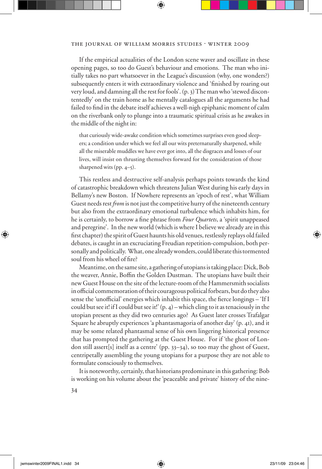If the empirical actualities of the London scene waver and oscillate in these opening pages, so too do Guest's behaviour and emotions. The man who initially takes no part whatsoever in the League's discussion (why, one wonders?) subsequently enters it with extraordinary violence and 'finished by roaring out very loud, and damning all the rest for fools'. (p. 3) The man who 'stewed discontentedly' on the train home as he mentally catalogues all the arguments he had failed to find in the debate itself achieves a well-nigh epiphanic moment of calm on the riverbank only to plunge into a traumatic spiritual crisis as he awakes in the middle of the night in:

that curiously wide-awake condition which sometimes surprises even good sleepers; a condition under which we feel all our wits preternaturally sharpened, while all the miserable muddles we have ever got into, all the disgraces and losses of our lives, will insist on thrusting themselves forward for the consideration of those sharpened wits (pp. 4–5).

This restless and destructive self-analysis perhaps points towards the kind of catastrophic breakdown which threatens Julian West during his early days in Bellamy's new Boston. If Nowhere represents an 'epoch of rest', what William Guest needs rest *from* is not just the competitive hurry of the nineteenth century but also from the extraordinary emotional turbulence which inhabits him, for he is certainly, to borrow a fine phrase from *Four Quartets*, a 'spirit unappeased and peregrine'. In the new world (which is where I believe we already are in this first chapter) the spirit of Guest haunts his old venues, restlessly replays old failed debates, is caught in an excruciating Freudian repetition-compulsion, both personally and politically. What, one already wonders, could liberate this tormented soul from his wheel of fire?

Meantime, on the same site, a gathering of utopians is taking place: Dick, Bob the weaver, Annie, Boffin the Golden Dustman. The utopians have built their new Guest House on the site of the lecture-room of the Hammersmith socialists in official commemoration of their courageous political forbears, but do they also sense the 'unofficial' energies which inhabit this space, the fierce longings – 'If I could but see it! if I could but see it!'  $(p, 4)$  – which cling to it as tenaciously in the utopian present as they did two centuries ago? As Guest later crosses Trafalgar Square he abruptly experiences 'a phantasmagoria of another day' (p. 41), and it may be some related phantasmal sense of his own lingering historical presence that has prompted the gathering at the Guest House. For if 'the ghost of London still assert[s] itself as a centre' (pp. 33–34), so too may the ghost of Guest, centripetally assembling the young utopians for a purpose they are not able to formulate consciously to themselves.

It is noteworthy, certainly, that historians predominate in this gathering: Bob is working on his volume about the 'peaceable and private' history of the nine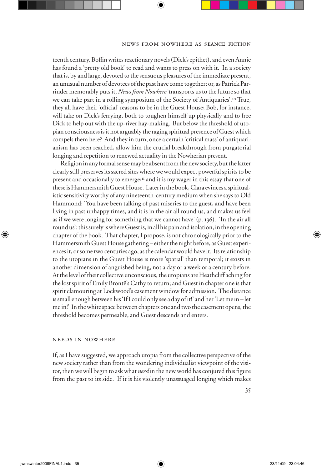teenth century, Boffin writes reactionary novels (Dick's epithet), and even Annie has found a 'pretty old book' to read and wants to press on with it. In a society that is, by and large, devoted to the sensuous pleasures of the immediate present, an unusual number of devotees of the past have come together; or, as Patrick Parrinder memorably puts it, *News from Nowhere* 'transports us to the future so that we can take part in a rolling symposium of the Society of Antiquaries'.10 True, they all have their 'official' reasons to be in the Guest House; Bob, for instance, will take on Dick's ferrying, both to toughen himself up physically and to free Dick to help out with the up-river hay-making. But below the threshold of utopian consciousness is it not arguably the raging spiritual presence of Guest which compels them here? And they in turn, once a certain 'critical mass' of antiquarianism has been reached, allow him the crucial breakthrough from purgatorial longing and repetition to renewed actuality in the Nowherian present.

Religion in any formal sense may be absent from the new society, but the latter clearly still preserves its sacred sites where we would expect powerful spirits to be present and occasionally to emerge; $\pi$  and it is my wager in this essay that one of these is Hammersmith Guest House. Later in the book, Clara evinces a spiritualistic sensitivity worthy of any nineteenth-century medium when she says to Old Hammond: 'You have been talking of past miseries to the guest, and have been living in past unhappy times, and it is in the air all round us, and makes us feel as if we were longing for something that we cannot have' (p. 136). 'In the air all round us': this surely is where Guest is, in all his pain and isolation, in the opening chapter of the book. That chapter, I propose, is not chronologically prior to the Hammersmith Guest House gathering – either the night before, as Guest experiences it, or some two centuries ago, as the calendar would have it. Its relationship to the utopians in the Guest House is more 'spatial' than temporal; it exists in another dimension of anguished being, not a day or a week or a century before. At the level of their collective unconscious, the utopians are Heathcliff aching for the lost spirit of Emily Brontë's Cathy to return; and Guest in chapter one is that spirit clamouring at Lockwood's casement window for admission. The distance is small enough between his 'If I could only see a day of it!' and her 'Let me in – let me in!' In the white space between chapters one and two the casement opens, the threshold becomes permeable, and Guest descends and enters.

#### needs in nowhere

If, as I have suggested, we approach utopia from the collective perspective of the new society rather than from the wondering individualist viewpoint of the visitor, then we will begin to ask what *need* in the new world has conjured this figure from the past to its side. If it is his violently unassuaged longing which makes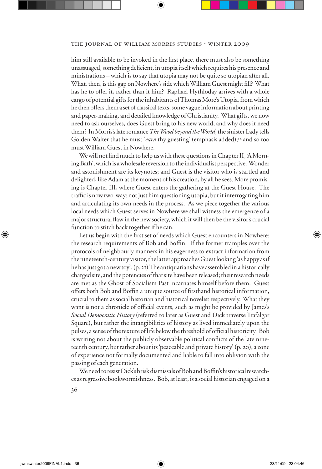him still available to be invoked in the first place, there must also be something unassuaged, something deficient, in utopia itself which requires his presence and ministrations – which is to say that utopia may not be quite so utopian after all. What, then, is this gap on Nowhere's side which William Guest might fill? What has he to offer it, rather than it him? Raphael Hythloday arrives with a whole cargo of potential gifts for the inhabitants of Thomas More's Utopia, from which he then offers them a set of classical texts, some vague information about printing and paper-making, and detailed knowledge of Christianity. What gifts, we now need to ask ourselves, does Guest bring to his new world, and why does it need them? In Morris's late romance *The Wood beyond the World*, the sinister Lady tells Golden Walter that he must 'earn thy guesting' (emphasis added);<sup>12</sup> and so too must William Guest in Nowhere.

We will not find much to help us with these questions in Chapter II, 'A Morning Bath', which is a wholesale reversion to the individualist perspective. Wonder and astonishment are its keynotes; and Guest is the visitor who is startled and delighted, like Adam at the moment of his creation, by all he sees. More promising is Chapter III, where Guest enters the gathering at the Guest House. The traffic is now two-way: not just him questioning utopia, but it interrogating him and articulating its own needs in the process. As we piece together the various local needs which Guest serves in Nowhere we shall witness the emergence of a major structural flaw in the new society, which it will then be the visitor's crucial function to stitch back together if he can.

Let us begin with the first set of needs which Guest encounters in Nowhere: the research requirements of Bob and Boffin. If the former tramples over the protocols of neighbourly manners in his eagerness to extract information from the nineteenth-century visitor, the latter approaches Guest looking 'as happy as if he has just got a new toy'. (p. 21) The antiquarians have assembled in a historically charged site, and the potencies of that site have been released; their research needs are met as the Ghost of Socialism Past incarnates himself before them. Guest offers both Bob and Boffin a unique source of firsthand historical information, crucial to them as social historian and historical novelist respectively. What they want is not a chronicle of official events, such as might be provided by James's *Social Democratic History* (referred to later as Guest and Dick traverse Trafalgar Square), but rather the intangibilities of history as lived immediately upon the pulses, a sense of the texture of life below the threshold of official historicity. Bob is writing not about the publicly observable political conflicts of the late nineteenth century, but rather about its 'peaceable and private history' (p. 20), a zone of experience not formally documented and liable to fall into oblivion with the passing of each generation.

We need to resist Dick's brisk dismissals of Bob and Boffin's historical researches as regressive bookwormishness. Bob, at least, is a social historian engaged on a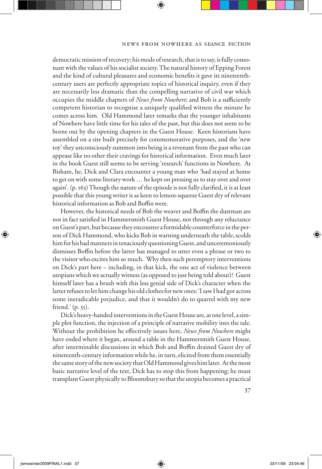democratic mission of recovery; his mode of research, that is to say, is fully consonant with the values of his socialist society. The natural history of Epping Forest and the kind of cultural pleasures and economic benefits it gave its nineteenthcentury users are perfectly appropriate topics of historical inquiry, even if they are necessarily less dramatic than the compelling narrative of civil war which occupies the middle chapters of *News from Nowhere*; and Bob is a sufficiently competent historian to recognise a uniquely qualified witness the minute he comes across him. Old Hammond later remarks that the younger inhabitants of Nowhere have little time for his tales of the past, but this does not seem to be borne out by the opening chapters in the Guest House. Keen historians have assembled on a site built precisely for commemorative purposes, and the 'new toy' they unconsciously summon into being is a revenant from the past who can appease like no other their cravings for historical information. Even much later in the book Guest still seems to be serving 'research' functions in Nowhere. At Bisham, he, Dick and Clara encounter a young man who 'had stayed at home to get on with some literary work … he kept on pressing us to stay over and over again'. (p. 163) Though the nature of the episode is not fully clarified, it is at least possible that this young writer is as keen to lemon-squeeze Guest dry of relevant historical information as Bob and Boffin were.

However, the historical needs of Bob the weaver and Boffin the dustman are not in fact satisfied in Hammersmith Guest House, not through any reluctance on Guest's part, but because they encounter a formidable counterforce in the person of Dick Hammond, who kicks Bob in warning underneath the table, scolds him for his bad manners in tenaciously questioning Guest, and unceremoniously dismisses Boffin before the latter has managed to utter even a phrase or two to the visitor who excites him so much. Why then such peremptory interventions on Dick's part here – including, in that kick, the one act of violence between utopians which we actually witness (as opposed to just being told about)? Guest himself later has a brush with this less genial side of Dick's character when the latter refuses to let him change his old clothes for new ones: 'I saw I had got across some ineradicable prejudice, and that it wouldn't do to quarrel with my new friend.' (p. 35).

Dick's heavy-handed interventions in the Guest House are, at one level, a simple plot function, the injection of a principle of narrative mobility into the tale. Without the prohibition he effectively issues here, *News from Nowhere* might have ended where it began, around a table in the Hammersmith Guest House, after interminable discussions in which Bob and Boffin drained Guest dry of nineteenth-century information while he, in turn, elicited from them essentially the same story of the new society that Old Hammond gives him later. At the most basic narrative level of the text, Dick has to stop this from happening; he must transplant Guest physically to Bloomsbury so that the utopia becomes a practical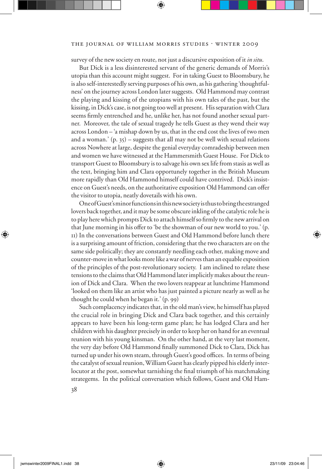#### THE JOURNAL OF WILLIAM MORRIS STUDIES . WINTER 2009

survey of the new society en route, not just a discursive exposition of it *in situ*.

But Dick is a less disinterested servant of the generic demands of Morris's utopia than this account might suggest. For in taking Guest to Bloomsbury, he is also self-interestedly serving purposes of his own, as his gathering 'thoughtfulness' on the journey across London later suggests. Old Hammond may contrast the playing and kissing of the utopians with his own tales of the past, but the kissing, in Dick's case, is not going too well at present. His separation with Clara seems firmly entrenched and he, unlike her, has not found another sexual partner. Moreover, the tale of sexual tragedy he tells Guest as they wend their way across London – 'a mishap down by us, that in the end cost the lives of two men and a woman.'  $(p. 35)$  – suggests that all may not be well with sexual relations across Nowhere at large, despite the genial everyday comradeship between men and women we have witnessed at the Hammersmith Guest House. For Dick to transport Guest to Bloomsbury is to salvage his own sex life from stasis as well as the text, bringing him and Clara opportunely together in the British Museum more rapidly than Old Hammond himself could have contrived. Dick's insistence on Guest's needs, on the authoritative exposition Old Hammond can offer the visitor to utopia, neatly dovetails with his own.

One of Guest's minor functions in this new society is thus to bring the estranged lovers back together, and it may be some obscure inkling of the catalytic role he is to play here which prompts Dick to attach himself so firmly to the new arrival on that June morning in his offer to 'be the showman of our new world to you.' (p. 11) In the conversations between Guest and Old Hammond before lunch there is a surprising amount of friction, considering that the two characters are on the same side politically; they are constantly needling each other, making move and counter-move in what looks more like a war of nerves than an equable exposition of the principles of the post-revolutionary society. I am inclined to relate these tensions to the claims that Old Hammond later implicitly makes about the reunion of Dick and Clara. When the two lovers reappear at lunchtime Hammond 'looked on them like an artist who has just painted a picture nearly as well as he thought he could when he began it.' (p. 99)

Such complacency indicates that, in the old man's view, he himself has played the crucial role in bringing Dick and Clara back together, and this certainly appears to have been his long-term game plan; he has lodged Clara and her children with his daughter precisely in order to keep her on hand for an eventual reunion with his young kinsman. On the other hand, at the very last moment, the very day before Old Hammond finally summoned Dick to Clara, Dick has turned up under his own steam, through Guest's good offices. In terms of being the catalyst of sexual reunion, William Guest has clearly pipped his elderly interlocutor at the post, somewhat tarnishing the final triumph of his matchmaking strategems. In the political conversation which follows, Guest and Old Ham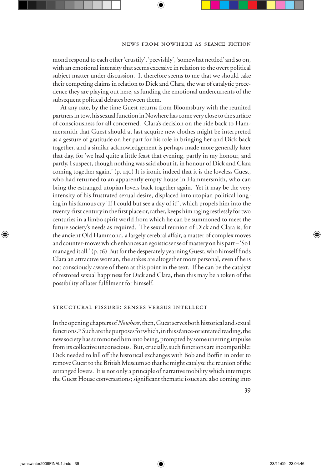mond respond to each other 'crustily', 'peevishly', 'somewhat nettled' and so on, with an emotional intensity that seems excessive in relation to the overt political subject matter under discussion. It therefore seems to me that we should take their competing claims in relation to Dick and Clara, the war of catalytic precedence they are playing out here, as funding the emotional undercurrents of the subsequent political debates between them.

At any rate, by the time Guest returns from Bloomsbury with the reunited partners in tow, his sexual function in Nowhere has come very close to the surface of consciousness for all concerned. Clara's decision on the ride back to Hammersmith that Guest should at last acquire new clothes might be interpreted as a gesture of gratitude on her part for his role in bringing her and Dick back together, and a similar acknowledgement is perhaps made more generally later that day, for 'we had quite a little feast that evening, partly in my honour, and partly, I suspect, though nothing was said about it, in honour of Dick and Clara coming together again.' (p. 140) It is ironic indeed that it is the loveless Guest, who had returned to an apparently empty house in Hammersmith, who can bring the estranged utopian lovers back together again. Yet it may be the very intensity of his frustrated sexual desire, displaced into utopian political longing in his famous cry 'If I could but see a day of it!', which propels him into the twenty-first century in the first place or, rather, keeps him raging restlessly for two centuries in a limbo spirit world from which he can be summoned to meet the future society's needs as required. The sexual reunion of Dick and Clara is, for the ancient Old Hammond, a largely cerebral affair, a matter of complex moves and counter-moves which enhances an egoistic sense of mastery on his part – 'So I managed it all.' (p. 56) But for the desperately yearning Guest, who himself finds Clara an attractive woman, the stakes are altogether more personal, even if he is not consciously aware of them at this point in the text. If he can be the catalyst of restored sexual happiness for Dick and Clara, then this may be a token of the possibility of later fulfilment for himself.

# structural fissure: senses versus intellect

In the opening chapters of *Nowhere*, then, Guest serves both historical and sexual functions.13 Such are the purposes for which, in this séance-orientated reading, the new society has summoned him into being, prompted by some unerring impulse from its collective unconscious. But, crucially, such functions are incompatible: Dick needed to kill off the historical exchanges with Bob and Boffin in order to remove Guest to the British Museum so that he might catalyse the reunion of the estranged lovers. It is not only a principle of narrative mobility which interrupts the Guest House conversations; significant thematic issues are also coming into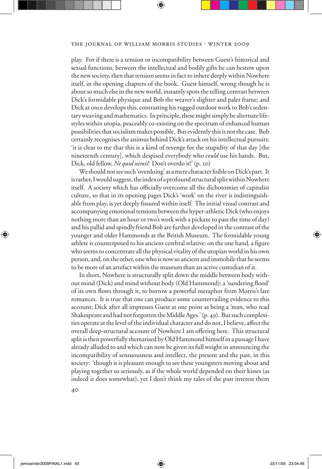play. For if there is a tension or incompatibility between Guest's historical and sexual functions, between the intellectual and bodily gifts he can bestow upon the new society, then that tension seems in fact to inhere deeply within Nowhere itself, in the opening chapters of the book. Guest himself, wrong though he is about so much else in the new world, instantly spots the telling contrast between Dick's formidable physique and Bob the weaver's slighter and paler frame; and Dick at once develops this, contrasting his rugged outdoor work to Bob's sedentary weaving and mathematics. In principle, these might simply be alternate lifestyles within utopia, peaceably co-existing on the spectrum of enhanced human possibilities that socialism makes possible. But evidently this is not the case. Bob certainly recognises the animus behind Dick's attack on his intellectual pursuits: 'it is clear to me that this is a kind of revenge for the stupidity of that day [the nineteenth century], which despised everybody who *could* use his hands. But, Dick, old fellow, *Ne quid nimis*! Don't overdo it!' (p. 20)

We should not see such 'overdoing' as a mere character foible on Dick's part. It is rather, I would suggest, the index of a profound structural split within Nowhere itself. A society which has officially overcome all the dichotomies of capitalist culture, so that in its opening pages Dick's 'work' on the river is indistinguishable from play, is yet deeply fissured within itself. The initial visual contrast and accompanying emotional tensions between the hyper-athletic Dick (who enjoys nothing more than an hour or two's work with a pickaxe to pass the time of day) and his pallid and spindly friend Bob are further developed in the contrast of the younger and older Hammonds at the British Museum. The formidable young athlete is counterposed to his ancient cerebral relative: on the one hand, a figure who seems to concentrate all the physical vitality of the utopian world in his own person, and, on the other, one who is now so ancient and immobile that he seems to be more of an artefact within the museum than an active custodian of it.

In short, Nowhere is structurally split down the middle between body without mind (Dick) and mind without body (Old Hammond); a 'sundering flood' of its own flows through it, to borrow a powerful metaphor from Morris's late romances. It is true that one can produce some countervailing evidence to this account; Dick after all impresses Guest at one point as being a 'man, who read Shakespeare and had not forgotten the Middle Ages.' (p. 49). But such complexities operate at the level of the individual character and do not, I believe, affect the overall deep-structural account of Nowhere I am offering here. This structural split is then powerfully thematised by Old Hammond himself in a passage I have already alluded to and which can now be given its full weight in announcing the incompatibility of sensuousness and intellect, the present and the past, in this society: 'though it is pleasant enough to see these youngsters moving about and playing together so seriously, as if the whole world depended on their kisses (as indeed it does somewhat), yet I don't think my tales of the past interest them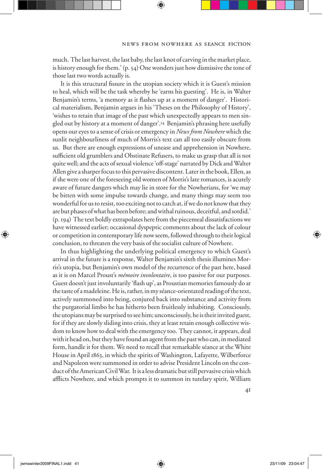much. The last harvest, the last baby, the last knot of carving in the market place, is history enough for them.' (p. 54) One wonders just how dismissive the tone of those last two words actually is.

It is this structural fissure in the utopian society which it is Guest's mission to heal, which will be the task whereby he 'earns his guesting'. He is, in Walter Benjamin's terms, 'a memory as it flashes up at a moment of danger'. Historical materialism, Benjamin argues in his 'Theses on the Philosophy of History', 'wishes to retain that image of the past which unexpectedly appears to men singled out by history at a moment of danger'.14 Benjamin's phrasing here usefully opens our eyes to a sense of crisis or emergency in *News from Nowhere* which the sunlit neighbourliness of much of Morris's text can all too easily obscure from us. But there are enough expressions of unease and apprehension in Nowhere, sufficient old grumblers and Obstinate Refusers, to make us grasp that all is not quite well; and the acts of sexual violence 'off-stage' narrated by Dick and Walter Allen give a sharper focus to this pervasive discontent. Later in the book, Ellen, as if she were one of the foreseeing old women of Morris's late romances, is acutely aware of future dangers which may lie in store for the Nowherians, for 'we may be bitten with some impulse towards change, and many things may seem too wonderful for us to resist, too exciting not to catch at, if we do not know that they are but phases of what has been before; and withal ruinous, deceitful, and sordid.' (p. 194) The text boldly extrapolates here from the piecemeal dissatisfactions we have witnessed earlier; occasional dyspeptic comments about the lack of colour or competition in contemporary life now seem, followed through to their logical conclusion, to threaten the very basis of the socialist culture of Nowhere.

In thus highlighting the underlying political emergency to which Guest's arrival in the future is a response, Walter Benjamin's sixth thesis illumines Morris's utopia, but Benjamin's own model of the recurrence of the past here, based as it is on Marcel Proust's *mémoire involontaire*, is too passive for our purposes. Guest doesn't just involuntarily 'flash up', as Proustian memories famously do at the taste of a madeleine. He is, rather, in my séance-orientated reading of the text, actively summoned into being, conjured back into substance and activity from the purgatorial limbo he has hitherto been fruitlessly inhabiting. Consciously, the utopians may be surprised to see him; unconsciously, he is their invited guest, for if they are slowly sliding into crisis, they at least retain enough collective wisdom to know how to deal with the emergency too. They cannot, it appears, deal with it head on, but they have found an agent from the past who can, in mediated form, handle it for them. We need to recall that remarkable séance at the White House in April 1863, in which the spirits of Washington, Lafayette, Wilberforce and Napoleon were summoned in order to advise President Lincoln on the conduct of the American Civil War. It is a less dramatic but still pervasive crisis which afflicts Nowhere, and which prompts it to summon its tutelary spirit, William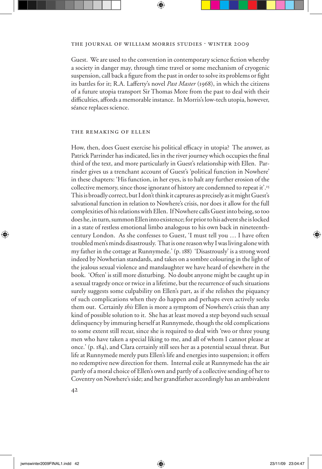Guest. We are used to the convention in contemporary science fiction whereby a society in danger may, through time travel or some mechanism of cryogenic suspension, call back a figure from the past in order to solve its problems or fight its battles for it; R.A. Lafferty's novel *Past Master* (1968), in which the citizens of a future utopia transport Sir Thomas More from the past to deal with their difficulties, affords a memorable instance. In Morris's low-tech utopia, however, séance replaces science.

# the remaking of ellen

How, then, does Guest exercise his political efficacy in utopia? The answer, as Patrick Parrinder has indicated, lies in the river journey which occupies the final third of the text, and more particularly in Guest's relationship with Ellen. Parrinder gives us a trenchant account of Guest's 'political function in Nowhere' in these chapters: 'His function, in her eyes, is to halt any further erosion of the collective memory, since those ignorant of history are condemned to repeat it'.<sup>15</sup> This is broadly correct, but I don't think it captures as precisely as it might Guest's salvational function in relation to Nowhere's crisis, nor does it allow for the full complexities of his relations with Ellen. If Nowhere calls Guest into being, so too does he, in turn, summon Ellen into existence; for prior to his advent she is locked in a state of restless emotional limbo analogous to his own back in nineteenthcentury London. As she confesses to Guest, 'I must tell you … I have often troubled men's minds disastrously. That is one reason why I was living alone with my father in the cottage at Runnymede.' (p. 188) 'Disastrously' is a strong word indeed by Nowherian standards, and takes on a sombre colouring in the light of the jealous sexual violence and manslaughter we have heard of elsewhere in the book. 'Often' is still more disturbing. No doubt anyone might be caught up in a sexual tragedy once or twice in a lifetime, but the recurrence of such situations surely suggests some culpability on Ellen's part, as if she relishes the piquancy of such complications when they do happen and perhaps even actively seeks them out. Certainly *this* Ellen is more a symptom of Nowhere's crisis than any kind of possible solution to it. She has at least moved a step beyond such sexual delinquency by immuring herself at Runnymede, though the old complications to some extent still recur, since she is required to deal with 'two or three young men who have taken a special liking to me, and all of whom I cannot please at once.' (p. 184), and Clara certainly still sees her as a potential sexual threat. But life at Runnymede merely puts Ellen's life and energies into suspension; it offers no redemptive new direction for them. Internal exile at Runnymede has the air partly of a moral choice of Ellen's own and partly of a collective sending of her to Coventry on Nowhere's side; and her grandfather accordingly has an ambivalent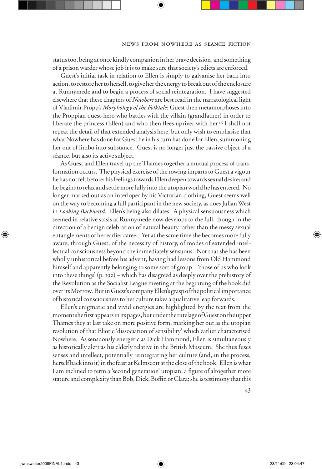status too, being at once kindly companion in her brave decision, and something of a prison warder whose job it is to make sure that society's edicts are enforced.

Guest's initial task in relation to Ellen is simply to galvanise her back into action, to restore her to herself, to give her the energy to break out of the enclosure at Runnymede and to begin a process of social reintegration. I have suggested elsewhere that these chapters of *Nowhere* are best read in the narratological light of Vladimir Propp's *Morphology of the Folktale*: Guest then metamorphoses into the Proppian quest-hero who battles with the villain (grandfather) in order to liberate the princess (Ellen) and who then flees upriver with her.<sup>16</sup> I shall not repeat the detail of that extended analysis here, but only wish to emphasise that what Nowhere has done for Guest he in his turn has done for Ellen, summoning her out of limbo into substance. Guest is no longer just the passive object of a séance, but also its active subject.

As Guest and Ellen travel up the Thames together a mutual process of transformation occurs. The physical exercise of the rowing imparts to Guest a vigour he has not felt before; his feelings towards Ellen deepen towards sexual desire; and he begins to relax and settle more fully into the utopian world he has entered. No longer marked out as an interloper by his Victorian clothing, Guest seems well on the way to becoming a full participant in the new society, as does Julian West in *Looking Backward*. Ellen's being also dilates. A physical sensuousness which seemed in relative stasis at Runnymede now develops to the full, though in the direction of a benign celebration of natural beauty rather than the messy sexual entanglements of her earlier career. Yet at the same time she becomes more fully aware, through Guest, of the necessity of history, of modes of extended intellectual consciousness beyond the immediately sensuous. Not that she has been wholly unhistorical before his advent, having had lessons from Old Hammond himself and apparently belonging to some sort of group – 'those of us who look into these things' (p. 192) – which has disagreed as deeply over the prehistory of the Revolution as the Socialist League meeting at the beginning of the book did over its Morrow. But in Guest's company Ellen's grasp of the political importance of historical consciousness to her culture takes a qualitative leap forwards.

Ellen's enigmatic and vivid energies are highlighted by the text from the moment she first appears in its pages, but under the tutelage of Guest on the upper Thames they at last take on more positive form, marking her out as the utopian resolution of that Eliotic 'dissociation of sensibility' which earlier characterised Nowhere. As sensuously energetic as Dick Hammond, Ellen is simultaneously as historically alert as his elderly relative in the British Museum. She thus fuses senses and intellect, potentially reintegrating her culture (and, in the process, herself back into it) in the feast at Kelmscott at the close of the book. Ellen is what I am inclined to term a 'second generation' utopian, a figure of altogether more stature and complexity than Bob, Dick, Boffin or Clara; she is testimony that this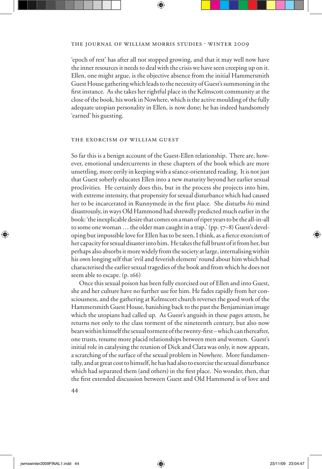'epoch of rest' has after all not stopped growing, and that it may well now have the inner resources it needs to deal with the crisis we have seen creeping up on it. Ellen, one might argue, is the objective absence from the initial Hammersmith Guest House gathering which leads to the necessity of Guest's summoning in the first instance. As she takes her rightful place in the Kelmscott community at the close of the book, his work in Nowhere, which is the active moulding of the fully adequate utopian personality in Ellen, is now done; he has indeed handsomely 'earned' his guesting.

## the exorcism of william guest

So far this is a benign account of the Guest-Ellen relationship. There are, however, emotional undercurrents in these chapters of the book which are more unsettling, more eerily in keeping with a séance-orientated reading. It is not just that Guest soberly educates Ellen into a new maturity beyond her earlier sexual proclivities. He certainly does this, but in the process she projects into him, with extreme intensity, that propensity for sexual disturbance which had caused her to be incarcerated in Runnymede in the first place. She disturbs *his* mind disastrously, in ways Old Hammond had shrewdly predicted much earlier in the book: 'the inexplicable desire that comes on a man of riper years to be the all-in-all to some one woman … the older man caught in a trap.' (pp. 57–8) Guest's developing but impossible love for Ellen has to be seen, I think, as a fierce exorcism of her capacity for sexual disaster into him. He takes the full brunt of it from her, but perhaps also absorbs it more widely from the society at large, internalising within his own longing self that 'evil and feverish element' round about him which had characterised the earlier sexual tragedies of the book and from which he does not seem able to escape. (p. 166)

Once this sexual poison has been fully exorcised out of Ellen and into Guest, she and her culture have no further use for him. He fades rapidly from her consciousness, and the gathering at Kelmscott church reverses the good work of the Hammersmith Guest House, banishing back to the past the Benjaminian image which the utopians had called up. As Guest's anguish in these pages attests, he returns not only to the class torment of the nineteenth century, but also now bears within himself the sexual torment of the twenty-first-which can thereafter, one trusts, resume more placid relationships between men and women. Guest's initial role in catalysing the reunion of Dick and Clara was only, it now appears, a scratching of the surface of the sexual problem in Nowhere. More fundamentally, and at great cost to himself, he has had also to exorcise the sexual disturbance which had separated them (and others) in the first place. No wonder, then, that the first extended discussion between Guest and Old Hammond is of love and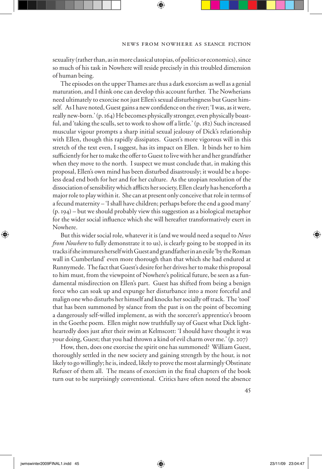sexuality (rather than, as in more classical utopias, of politics or economics), since so much of his task in Nowhere will reside precisely in this troubled dimension of human being.

The episodes on the upper Thames are thus a dark exorcism as well as a genial maturation, and I think one can develop this account further. The Nowherians need ultimately to exorcise not just Ellen's sexual disturbingness but Guest himself. As I have noted, Guest gains a new confidence on the river; 'I was, as it were, really new-born.' (p. 164) He becomes physically stronger, even physically boastful, and 'taking the sculls, set to work to show off a little.' (p. 182) Such increased muscular vigour prompts a sharp initial sexual jealousy of Dick's relationship with Ellen, though this rapidly dissipates. Guest's more vigorous will in this stretch of the text even, I suggest, has its impact on Ellen. It binds her to him sufficiently for her to make the offer to Guest to live with her and her grandfather when they move to the north. I suspect we must conclude that, in making this proposal, Ellen's own mind has been disturbed disastrously; it would be a hopeless dead end both for her and for her culture. As the utopian resolution of the dissociation of sensibility which afflicts her society, Ellen clearly has henceforth a major role to play within it. She can at present only conceive that role in terms of a fecund maternity – 'I shall have children; perhaps before the end a good many' (p. 194) – but we should probably view this suggestion as a biological metaphor for the wider social influence which she will hereafter transformatively exert in Nowhere.

But this wider social role, whatever it is (and we would need a sequel to *News from Nowhere* to fully demonstrate it to us), is clearly going to be stopped in its tracks if she immures herself with Guest and grandfather in an exile 'by the Roman wall in Cumberland' even more thorough than that which she had endured at Runnymede. The fact that Guest's desire for her drives her to make this proposal to him must, from the viewpoint of Nowhere's political future, be seen as a fundamental misdirection on Ellen's part. Guest has shifted from being a benign force who can soak up and expunge her disturbance into a more forceful and malign one who disturbs her himself and knocks her socially off track. The 'tool' that has been summoned by séance from the past is on the point of becoming a dangerously self-willed implement, as with the sorcerer's apprentice's broom in the Goethe poem. Ellen might now truthfully say of Guest what Dick lightheartedly does just after their swim at Kelmscott: 'I should have thought it was your doing, Guest; that you had thrown a kind of evil charm over me.' (p. 207)

How, then, does one exorcise the spirit one has summoned? William Guest, thoroughly settled in the new society and gaining strength by the hour, is not likely to go willingly; he is, indeed, likely to prove the most alarmingly Obstinate Refuser of them all. The means of exorcism in the final chapters of the book turn out to be surprisingly conventional. Critics have often noted the absence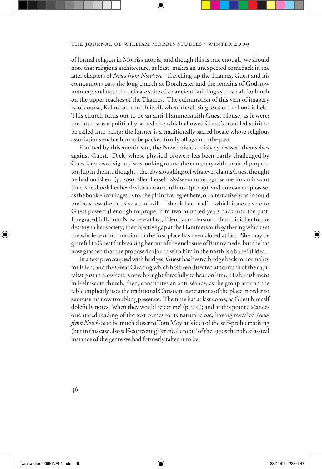of formal religion in Morris's utopia, and though this is true enough, we should note that religious architecture, at least, makes an unexpected comeback in the later chapters of *News from Nowhere.* Travelling up the Thames, Guest and his companions pass the long church at Dorchester and the remains of Godstow nunnery, and note the delicate spire of an ancient building as they halt for lunch on the upper reaches of the Thames. The culmination of this vein of imagery is, of course, Kelmscott church itself, where the closing feast of the book is held. This church turns out to be an anti-Hammersmith Guest House, as it were: the latter was a politically sacred site which allowed Guest's troubled spirit to be called into being; the former is a traditionally sacred locale whose religious associations enable him to be packed firmly off again to the past.

Fortified by this auratic site, the Nowherians decisively reassert themselves against Guest. Dick, whose physical prowess has been partly challenged by Guest's renewed vigour, 'was looking round the company with an air of proprietorship in them, I thought', thereby sloughing off whatever claims Guest thought he had on Ellen. (p. 209) Ellen herself '*did* seem to recognise me for an instant [but] she shook her head with a mournful look' (p. 209); and one can emphasise, as the book encourages us to, the plaintive regret here, or, alternatively, as I should prefer, stress the decisive act of will – 'shook her head' – which issues a veto to Guest powerful enough to propel him two hundred years back into the past. Integrated fully into Nowhere at last, Ellen has understood that this is her future destiny in her society; the objective gap at the Hammersmith gathering which set the whole text into motion in the first place has been closed at last. She may be grateful to Guest for breaking her out of the enclosure of Runnymede, but she has now grasped that the proposed sojourn with him in the north is a baneful idea.

In a text preoccupied with bridges, Guest has been a bridge back to normality for Ellen; and the Great Clearing which has been directed at so much of the capitalist past in Nowhere is now brought forcefully to bear on him. His banishment in Kelmscott church, then, constitutes an anti-séance, as the group around the table implicitly uses the traditional Christian associations of the place in order to exorcise his now troubling presence. The time has at last come, as Guest himself dolefully notes, 'when they would reject me' (p. 210); and at this point a séanceorientated reading of the text comes to its natural close, having revealed *News from Nowhere* to be much closer to Tom Moylan's idea of the self-problematising (but in this case also self-correcting) 'critical utopia' of the 1970s than the classical instance of the genre we had formerly taken it to be.